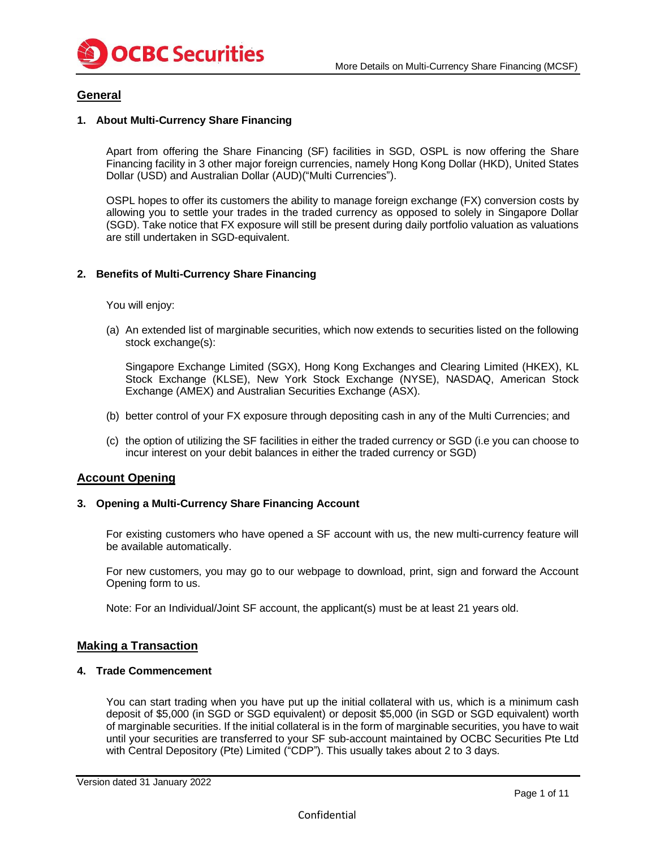

# **General**

# **1. About Multi-Currency Share Financing**

Apart from offering the Share Financing (SF) facilities in SGD, OSPL is now offering the Share Financing facility in 3 other major foreign currencies, namely Hong Kong Dollar (HKD), United States Dollar (USD) and Australian Dollar (AUD)("Multi Currencies").

OSPL hopes to offer its customers the ability to manage foreign exchange (FX) conversion costs by allowing you to settle your trades in the traded currency as opposed to solely in Singapore Dollar (SGD). Take notice that FX exposure will still be present during daily portfolio valuation as valuations are still undertaken in SGD-equivalent.

# **2. Benefits of Multi-Currency Share Financing**

You will enjoy:

(a) An extended list of marginable securities, which now extends to securities listed on the following stock exchange(s):

Singapore Exchange Limited (SGX), Hong Kong Exchanges and Clearing Limited (HKEX), KL Stock Exchange (KLSE), New York Stock Exchange (NYSE), NASDAQ, American Stock Exchange (AMEX) and Australian Securities Exchange (ASX).

- (b) better control of your FX exposure through depositing cash in any of the Multi Currencies; and
- (c) the option of utilizing the SF facilities in either the traded currency or SGD (i.e you can choose to incur interest on your debit balances in either the traded currency or SGD)

### **Account Opening**

### **3. Opening a Multi-Currency Share Financing Account**

For existing customers who have opened a SF account with us, the new multi-currency feature will be available automatically.

For new customers, you may go to our webpage to download, print, sign and forward the Account Opening form to us.

Note: For an Individual/Joint SF account, the applicant(s) must be at least 21 years old.

### **Making a Transaction**

### **4. Trade Commencement**

You can start trading when you have put up the initial collateral with us, which is a minimum cash deposit of \$5,000 (in SGD or SGD equivalent) or deposit \$5,000 (in SGD or SGD equivalent) worth of marginable securities. If the initial collateral is in the form of marginable securities, you have to wait until your securities are transferred to your SF sub-account maintained by OCBC Securities Pte Ltd with Central Depository (Pte) Limited ("CDP"). This usually takes about 2 to 3 days.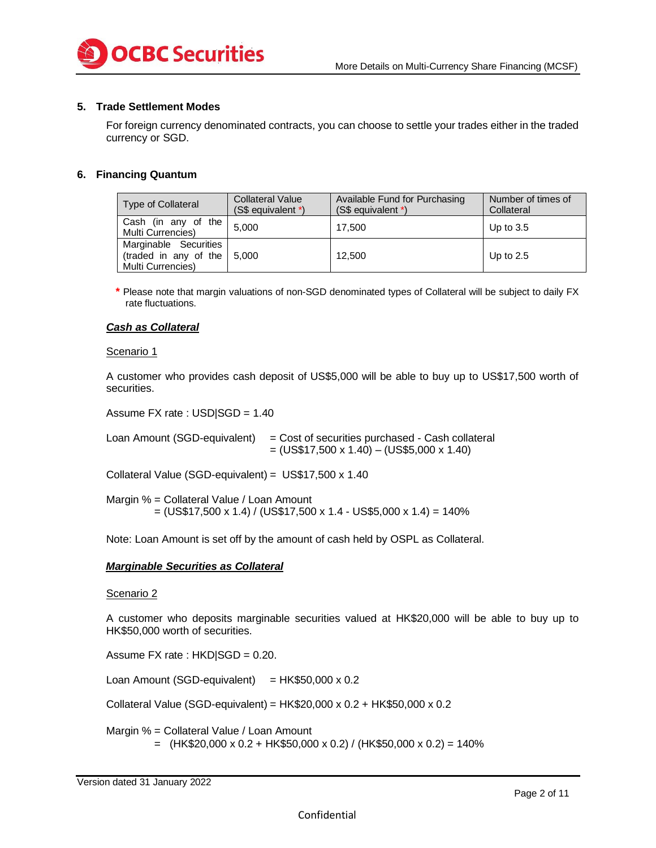

### **5. Trade Settlement Modes**

For foreign currency denominated contracts, you can choose to settle your trades either in the traded currency or SGD.

### **6. Financing Quantum**

| <b>Type of Collateral</b>                                           | <b>Collateral Value</b><br>(S\$ equivalent *) | Available Fund for Purchasing<br>(S\$ equivalent *) | Number of times of<br>Collateral |
|---------------------------------------------------------------------|-----------------------------------------------|-----------------------------------------------------|----------------------------------|
| Cash (in any of the<br>Multi Currencies)                            | 5.000                                         | 17.500                                              | Up to $3.5$                      |
| Marginable Securities<br>(traded in any of the<br>Multi Currencies) | 5.000                                         | 12.500                                              | Up to $2.5$                      |

**\*** Please note that margin valuations of non-SGD denominated types of Collateral will be subject to daily FX rate fluctuations.

### *Cash as Collateral*

#### Scenario 1

A customer who provides cash deposit of US\$5,000 will be able to buy up to US\$17,500 worth of securities.

Assume FX rate : USD|SGD = 1.40

Loan Amount (SGD-equivalent) = Cost of securities purchased - Cash collateral  $= (US$17,500 \times 1.40) - (US$5,000 \times 1.40)$ 

Collateral Value (SGD-equivalent) = US\$17,500 x 1.40

Margin % = Collateral Value / Loan Amount  $=$  (US\$17,500 x 1.4) / (US\$17,500 x 1.4 - US\$5,000 x 1.4) = 140%

Note: Loan Amount is set off by the amount of cash held by OSPL as Collateral.

#### *Marginable Securities as Collateral*

### Scenario 2

A customer who deposits marginable securities valued at HK\$20,000 will be able to buy up to HK\$50,000 worth of securities.

Assume FX rate : HKD|SGD = 0.20.

Loan Amount (SGD-equivalent) =  $HK$50,000 \times 0.2$ 

Collateral Value (SGD-equivalent) = HK\$20,000 x 0.2 + HK\$50,000 x 0.2

 Margin % = Collateral Value / Loan Amount  $=$  (HK\$20,000 x 0.2 + HK\$50,000 x 0.2) / (HK\$50,000 x 0.2) = 140%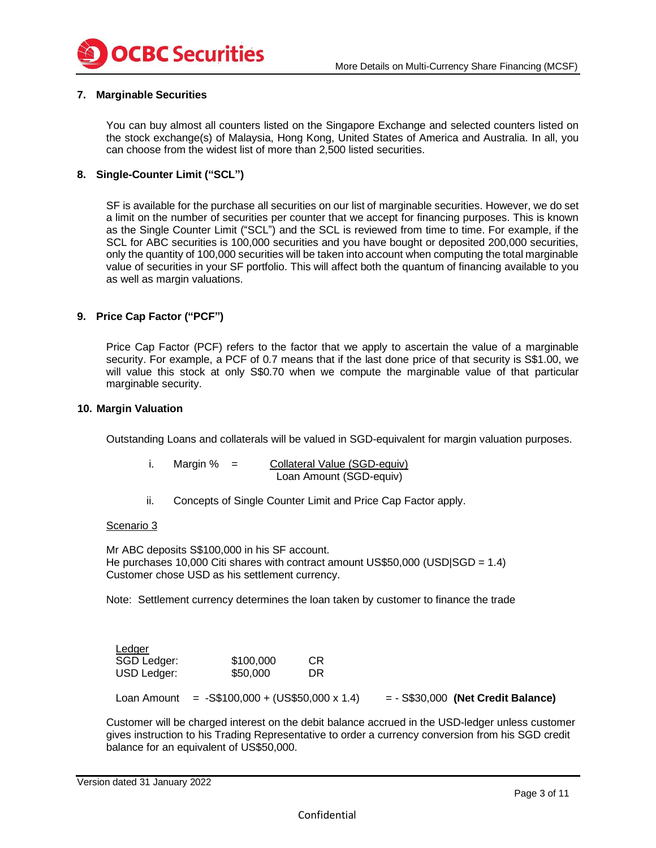

# **7. Marginable Securities**

You can buy almost all counters listed on the Singapore Exchange and selected counters listed on the stock exchange(s) of Malaysia, Hong Kong, United States of America and Australia. In all, you can choose from the widest list of more than 2,500 listed securities.

# **8. Single-Counter Limit ("SCL")**

SF is available for the purchase all securities on our list of marginable securities. However, we do set a limit on the number of securities per counter that we accept for financing purposes. This is known as the Single Counter Limit ("SCL") and the SCL is reviewed from time to time. For example, if the SCL for ABC securities is 100,000 securities and you have bought or deposited 200,000 securities, only the quantity of 100,000 securities will be taken into account when computing the total marginable value of securities in your SF portfolio. This will affect both the quantum of financing available to you as well as margin valuations.

# **9. Price Cap Factor ("PCF")**

Price Cap Factor (PCF) refers to the factor that we apply to ascertain the value of a marginable security. For example, a PCF of 0.7 means that if the last done price of that security is S\$1.00, we will value this stock at only S\$0.70 when we compute the marginable value of that particular marginable security.

### **10. Margin Valuation**

Outstanding Loans and collaterals will be valued in SGD-equivalent for margin valuation purposes.

| Margin % | Collateral Value (SGD-equiv) |
|----------|------------------------------|
|          | Loan Amount (SGD-equiv)      |

ii. Concepts of Single Counter Limit and Price Cap Factor apply.

#### Scenario 3

Mr ABC deposits S\$100,000 in his SF account. He purchases 10,000 Citi shares with contract amount US\$50,000 (USD $|SGD = 1.4\rangle$ ) Customer chose USD as his settlement currency.

Note: Settlement currency determines the loan taken by customer to finance the trade

| Ledger      |                                       |    |                                      |  |
|-------------|---------------------------------------|----|--------------------------------------|--|
| SGD Ledger: | \$100,000                             | СR |                                      |  |
| USD Ledger: | \$50,000                              | DR |                                      |  |
| Loan Amount | $= -\$ \$100,000 + (US\$50,000 x 1.4) |    | $= -$ S\$30,000 (Net Credit Balance) |  |

Customer will be charged interest on the debit balance accrued in the USD-ledger unless customer gives instruction to his Trading Representative to order a currency conversion from his SGD credit balance for an equivalent of US\$50,000.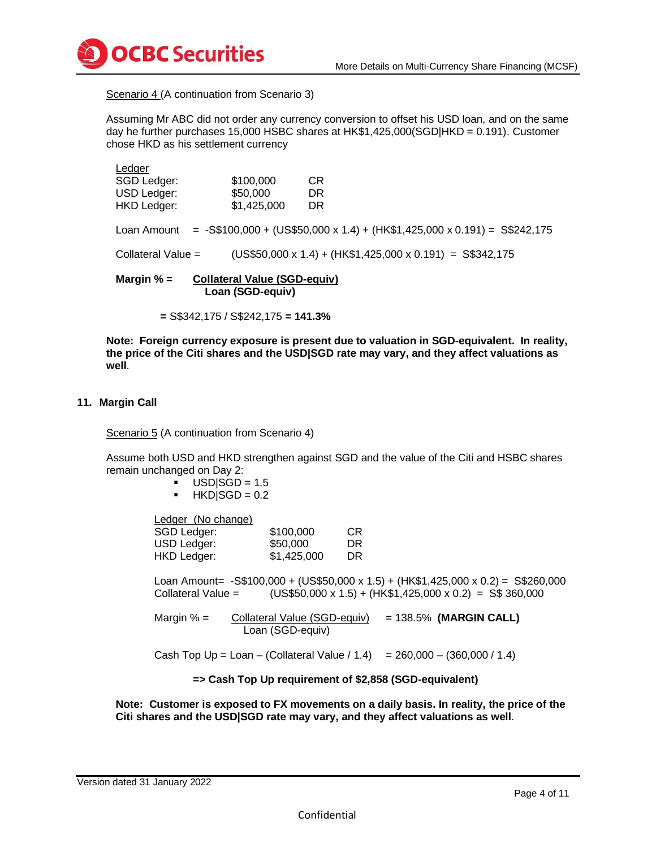

Scenario 4 (A continuation from Scenario 3)

Assuming Mr ABC did not order any currency conversion to offset his USD loan, and on the same day he further purchases 15,000 HSBC shares at HK\$1,425,000(SGD|HKD = 0.191). Customer chose HKD as his settlement currency

| <b>Ledger</b>              |                                                         |                                                                                          |
|----------------------------|---------------------------------------------------------|------------------------------------------------------------------------------------------|
| SGD Ledger:<br>USD Ledger: | \$100,000<br>\$50,000                                   | CR.<br>DR.                                                                               |
| <b>HKD Ledger:</b>         | \$1,425,000                                             | <b>DR</b>                                                                                |
|                            |                                                         |                                                                                          |
|                            |                                                         | Loan Amount = $-$ S\$100,000 + (US\$50,000 x 1.4) + (HK\$1,425,000 x 0.191) = S\$242,175 |
| Collateral Value $=$       |                                                         | $(US$50,000 x 1.4) + (HK$1,425,000 x 0.191) = S$342,175$                                 |
| Margin $% =$               | <b>Collateral Value (SGD-equiv)</b><br>Loan (SGD-equiv) |                                                                                          |

 **=** S\$342,175 / S\$242,175 **= 141.3%**

**Note: Foreign currency exposure is present due to valuation in SGD-equivalent. In reality, the price of the Citi shares and the USD|SGD rate may vary, and they affect valuations as well**.

### **11. Margin Call**

Scenario 5 (A continuation from Scenario 4)

Assume both USD and HKD strengthen against SGD and the value of the Citi and HSBC shares remain unchanged on Day 2:

- $USD|SGD = 1.5$
- $HKD|SGD = 0.2$

Ledger (No change)

| SGD Ledger: | \$100,000   | CR. |
|-------------|-------------|-----|
| USD Ledger: | \$50,000    | DR  |
| HKD Ledger: | \$1,425,000 | DR. |

Loan Amount= -S\$100,000 + (US\$50,000 x 1.5) + (HK\$1,425,000 x 0.2) = S\$260,000 Collateral Value =  $(US$50,000 \times 1.5) + (HK$1,425,000 \times 0.2) = S$360,000$ 

Margin % = Collateral Value (SGD-equiv) = 138.5% **(MARGIN CALL)** Loan (SGD-equiv)

Cash Top  $Up = Loan - (Collateral Value / 1.4) = 260,000 - (360,000 / 1.4)$ 

### **=> Cash Top Up requirement of \$2,858 (SGD-equivalent)**

**Note: Customer is exposed to FX movements on a daily basis. In reality, the price of the Citi shares and the USD|SGD rate may vary, and they affect valuations as well**.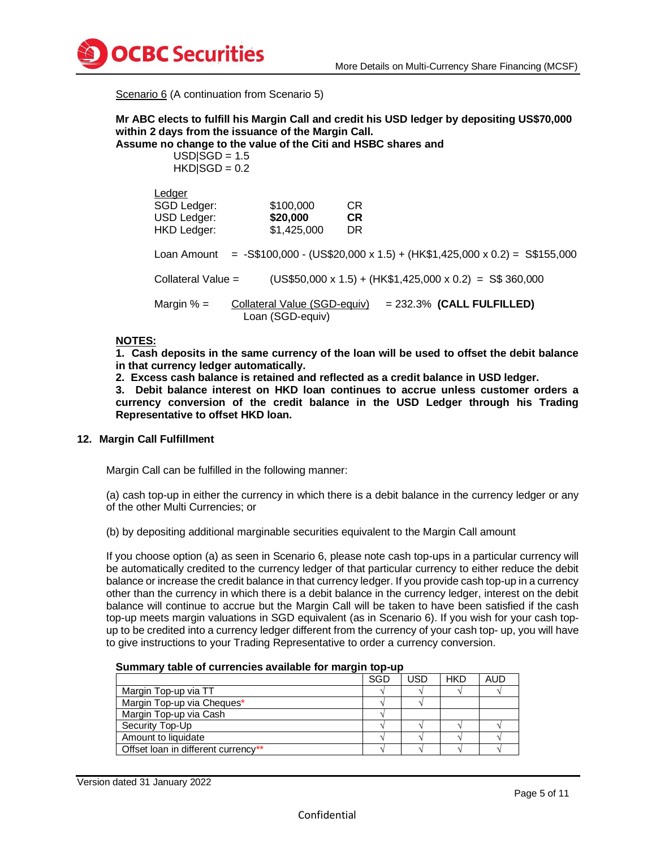

Scenario 6 (A continuation from Scenario 5)

# **Mr ABC elects to fulfill his Margin Call and credit his USD ledger by depositing US\$70,000 within 2 days from the issuance of the Margin Call.**

**Assume no change to the value of the Citi and HSBC shares and** 

 $USDISGD = 1.5$  $HKDISGD = 0.2$ 

| Ledger             |                                                  |           |                                                                                     |
|--------------------|--------------------------------------------------|-----------|-------------------------------------------------------------------------------------|
| SGD Ledger:        | \$100,000                                        | <b>CR</b> |                                                                                     |
| USD Ledger:        | \$20,000                                         | <b>CR</b> |                                                                                     |
| HKD Ledger:        | \$1,425,000                                      | DR.       |                                                                                     |
|                    |                                                  |           | Loan Amount = -S\$100,000 - (US\$20,000 x 1.5) + (HK\$1,425,000 x 0.2) = S\$155,000 |
| Collateral Value = |                                                  |           | $(US$50,000 \times 1.5) + (HK$1,425,000 \times 0.2) = S$360,000$                    |
| Margin $% =$       | Collateral Value (SGD-equiv)<br>Loan (SGD-equiv) |           | $= 232.3\%$ (CALL FULFILLED)                                                        |

### **NOTES:**

**1. Cash deposits in the same currency of the loan will be used to offset the debit balance in that currency ledger automatically.** 

**2. Excess cash balance is retained and reflected as a credit balance in USD ledger.**

**3. Debit balance interest on HKD loan continues to accrue unless customer orders a currency conversion of the credit balance in the USD Ledger through his Trading Representative to offset HKD loan.**

### **12. Margin Call Fulfillment**

Margin Call can be fulfilled in the following manner:

(a) cash top-up in either the currency in which there is a debit balance in the currency ledger or any of the other Multi Currencies; or

(b) by depositing additional marginable securities equivalent to the Margin Call amount

If you choose option (a) as seen in Scenario 6, please note cash top-ups in a particular currency will be automatically credited to the currency ledger of that particular currency to either reduce the debit balance or increase the credit balance in that currency ledger. If you provide cash top-up in a currency other than the currency in which there is a debit balance in the currency ledger, interest on the debit balance will continue to accrue but the Margin Call will be taken to have been satisfied if the cash top-up meets margin valuations in SGD equivalent (as in Scenario 6). If you wish for your cash topup to be credited into a currency ledger different from the currency of your cash top- up, you will have to give instructions to your Trading Representative to order a currency conversion.

#### **Summary table of currencies available for margin top-up**

|                                     | SGD | USD | <b>HKD</b> | AUD |
|-------------------------------------|-----|-----|------------|-----|
| Margin Top-up via TT                |     |     |            |     |
| Margin Top-up via Cheques*          |     |     |            |     |
| Margin Top-up via Cash              |     |     |            |     |
| Security Top-Up                     |     |     |            |     |
| Amount to liquidate                 |     |     |            |     |
| Offset loan in different currency** |     |     |            |     |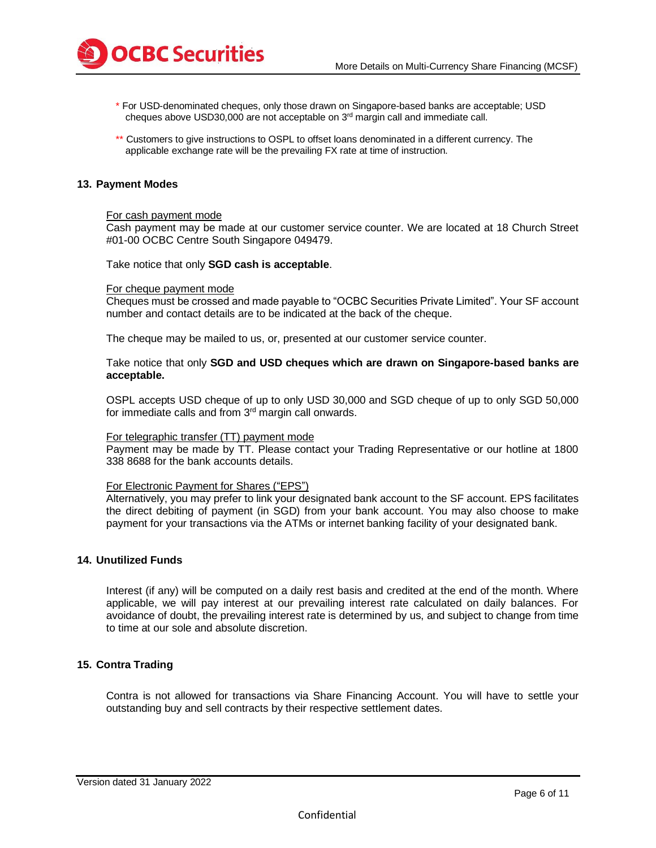

- \* For USD-denominated cheques, only those drawn on Singapore-based banks are acceptable; USD cheques above USD30,000 are not acceptable on 3rd margin call and immediate call.
- \*\* Customers to give instructions to OSPL to offset loans denominated in a different currency. The applicable exchange rate will be the prevailing FX rate at time of instruction.

### **13. Payment Modes**

#### For cash payment mode

Cash payment may be made at our customer service counter. We are located at 18 Church Street #01-00 OCBC Centre South Singapore 049479.

Take notice that only **SGD cash is acceptable**.

#### For cheque payment mode

Cheques must be crossed and made payable to "OCBC Securities Private Limited". Your SF account number and contact details are to be indicated at the back of the cheque.

The cheque may be mailed to us, or, presented at our customer service counter.

Take notice that only **SGD and USD cheques which are drawn on Singapore-based banks are acceptable.**

OSPL accepts USD cheque of up to only USD 30,000 and SGD cheque of up to only SGD 50,000 for immediate calls and from 3rd margin call onwards.

#### For telegraphic transfer (TT) payment mode

Payment may be made by TT. Please contact your Trading Representative or our hotline at 1800 338 8688 for the bank accounts details.

#### For Electronic Payment for Shares ("EPS")

Alternatively, you may prefer to link your designated bank account to the SF account. EPS facilitates the direct debiting of payment (in SGD) from your bank account. You may also choose to make payment for your transactions via the ATMs or internet banking facility of your designated bank.

### **14. Unutilized Funds**

Interest (if any) will be computed on a daily rest basis and credited at the end of the month. Where applicable, we will pay interest at our prevailing interest rate calculated on daily balances. For avoidance of doubt, the prevailing interest rate is determined by us, and subject to change from time to time at our sole and absolute discretion.

# **15. Contra Trading**

Contra is not allowed for transactions via Share Financing Account. You will have to settle your outstanding buy and sell contracts by their respective settlement dates.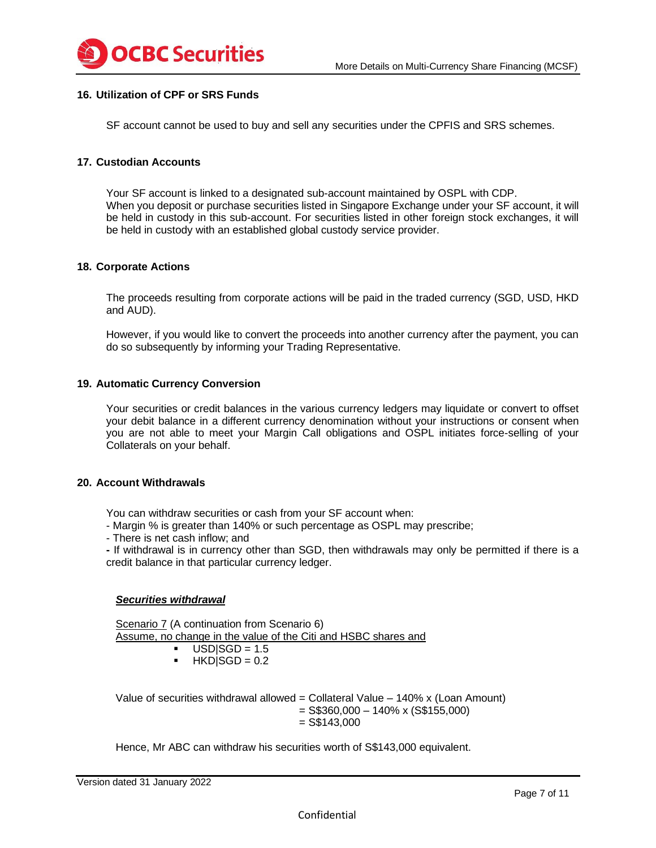

# **16. Utilization of CPF or SRS Funds**

SF account cannot be used to buy and sell any securities under the CPFIS and SRS schemes.

### **17. Custodian Accounts**

Your SF account is linked to a designated sub-account maintained by OSPL with CDP. When you deposit or purchase securities listed in Singapore Exchange under your SF account, it will be held in custody in this sub-account. For securities listed in other foreign stock exchanges, it will be held in custody with an established global custody service provider.

### **18. Corporate Actions**

The proceeds resulting from corporate actions will be paid in the traded currency (SGD, USD, HKD and AUD).

However, if you would like to convert the proceeds into another currency after the payment, you can do so subsequently by informing your Trading Representative.

### **19. Automatic Currency Conversion**

Your securities or credit balances in the various currency ledgers may liquidate or convert to offset your debit balance in a different currency denomination without your instructions or consent when you are not able to meet your Margin Call obligations and OSPL initiates force-selling of your Collaterals on your behalf.

#### **20. Account Withdrawals**

You can withdraw securities or cash from your SF account when:

- Margin % is greater than 140% or such percentage as OSPL may prescribe;

- There is net cash inflow; and

**-** If withdrawal is in currency other than SGD, then withdrawals may only be permitted if there is a credit balance in that particular currency ledger.

### *Securities withdrawal*

Scenario 7 (A continuation from Scenario 6) Assume, no change in the value of the Citi and HSBC shares and

- $USD|SGD = 1.5$
- $\blacksquare$  HKD|SGD = 0.2

Value of securities withdrawal allowed = Collateral Value  $-140\%$  x (Loan Amount)  $=$  S\$360,000 – 140% x (S\$155,000)  $=$  S\$143,000

Hence, Mr ABC can withdraw his securities worth of S\$143,000 equivalent.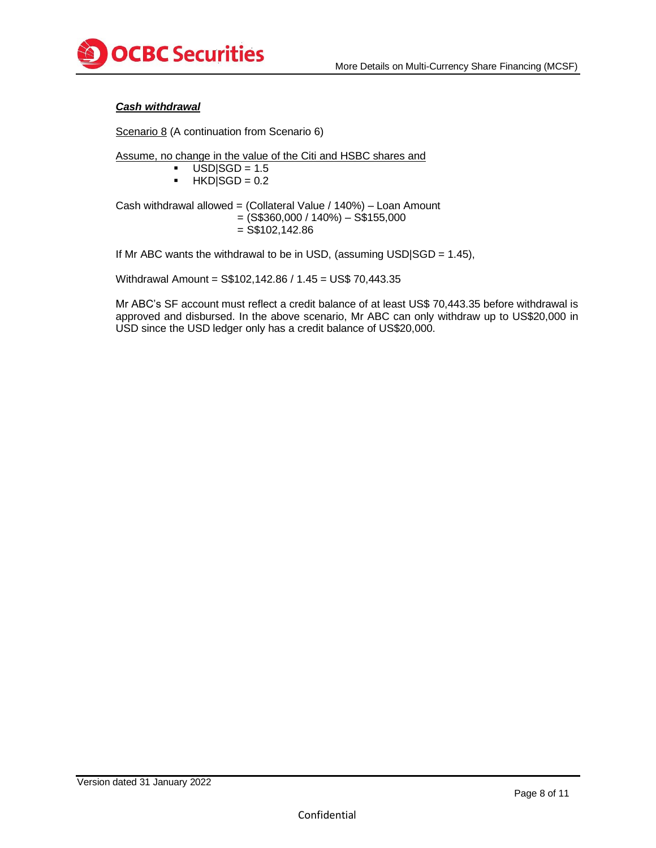

# *Cash withdrawal*

Scenario 8 (A continuation from Scenario 6)

Assume, no change in the value of the Citi and HSBC shares and

$$
USD|SGD = 1.5
$$

 $\blacksquare$  HKD|SGD = 0.2

Cash withdrawal allowed = (Collateral Value / 140%) – Loan Amount  $= ($ S\$360,000 / 140%) – S\$155,000  $=$  S\$102,142.86

If Mr ABC wants the withdrawal to be in USD, (assuming USD $|SGD = 1.45|$ ,

Withdrawal Amount = S\$102,142.86 / 1.45 = US\$ 70,443.35

Mr ABC's SF account must reflect a credit balance of at least US\$ 70,443.35 before withdrawal is approved and disbursed. In the above scenario, Mr ABC can only withdraw up to US\$20,000 in USD since the USD ledger only has a credit balance of US\$20,000.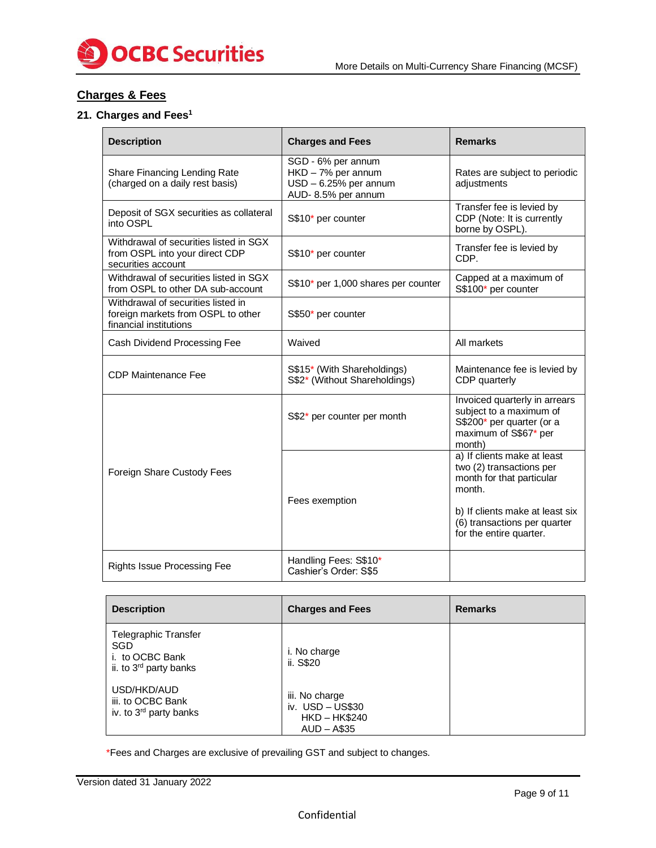

# **Charges & Fees**

# **21. Charges and Fees<sup>1</sup>**

| <b>Description</b>                                                                                 | <b>Charges and Fees</b>                                                                   | <b>Remarks</b>                                                                                                                                                                               |
|----------------------------------------------------------------------------------------------------|-------------------------------------------------------------------------------------------|----------------------------------------------------------------------------------------------------------------------------------------------------------------------------------------------|
| Share Financing Lending Rate<br>(charged on a daily rest basis)                                    | SGD - 6% per annum<br>HKD - 7% per annum<br>$USD - 6.25%$ per annum<br>AUD-8.5% per annum | Rates are subject to periodic<br>adjustments                                                                                                                                                 |
| Deposit of SGX securities as collateral<br>into OSPL                                               | S\$10* per counter                                                                        | Transfer fee is levied by<br>CDP (Note: It is currently<br>borne by OSPL).                                                                                                                   |
| Withdrawal of securities listed in SGX<br>from OSPL into your direct CDP<br>securities account     | S\$10* per counter                                                                        | Transfer fee is levied by<br>CDP.                                                                                                                                                            |
| Withdrawal of securities listed in SGX<br>from OSPL to other DA sub-account                        | S\$10* per 1,000 shares per counter                                                       | Capped at a maximum of<br>S\$100* per counter                                                                                                                                                |
| Withdrawal of securities listed in<br>foreign markets from OSPL to other<br>financial institutions | S\$50* per counter                                                                        |                                                                                                                                                                                              |
| Cash Dividend Processing Fee                                                                       | Waived                                                                                    | All markets                                                                                                                                                                                  |
| <b>CDP Maintenance Fee</b>                                                                         | S\$15* (With Shareholdings)<br>S\$2* (Without Shareholdings)                              | Maintenance fee is levied by<br>CDP quarterly                                                                                                                                                |
|                                                                                                    | S\$2* per counter per month                                                               | Invoiced quarterly in arrears<br>subject to a maximum of<br>S\$200* per quarter (or a<br>maximum of S\$67* per<br>month)                                                                     |
| Foreign Share Custody Fees                                                                         | Fees exemption                                                                            | a) If clients make at least<br>two (2) transactions per<br>month for that particular<br>month.<br>b) If clients make at least six<br>(6) transactions per quarter<br>for the entire quarter. |
| <b>Rights Issue Processing Fee</b>                                                                 | Handling Fees: S\$10*<br>Cashier's Order: S\$5                                            |                                                                                                                                                                                              |

| <b>Description</b>                                                                   | <b>Charges and Fees</b>                                              | <b>Remarks</b> |
|--------------------------------------------------------------------------------------|----------------------------------------------------------------------|----------------|
| Telegraphic Transfer<br>SGD<br>i. to OCBC Bank<br>ii. to 3 <sup>rd</sup> party banks | i. No charge<br>ii. S\$20                                            |                |
| USD/HKD/AUD<br>iii. to OCBC Bank<br>iv. to 3 <sup>rd</sup> party banks               | iii. No charge<br>iv. USD - US\$30<br>$HKD - HK$240$<br>$AUD - A$35$ |                |

\*Fees and Charges are exclusive of prevailing GST and subject to changes.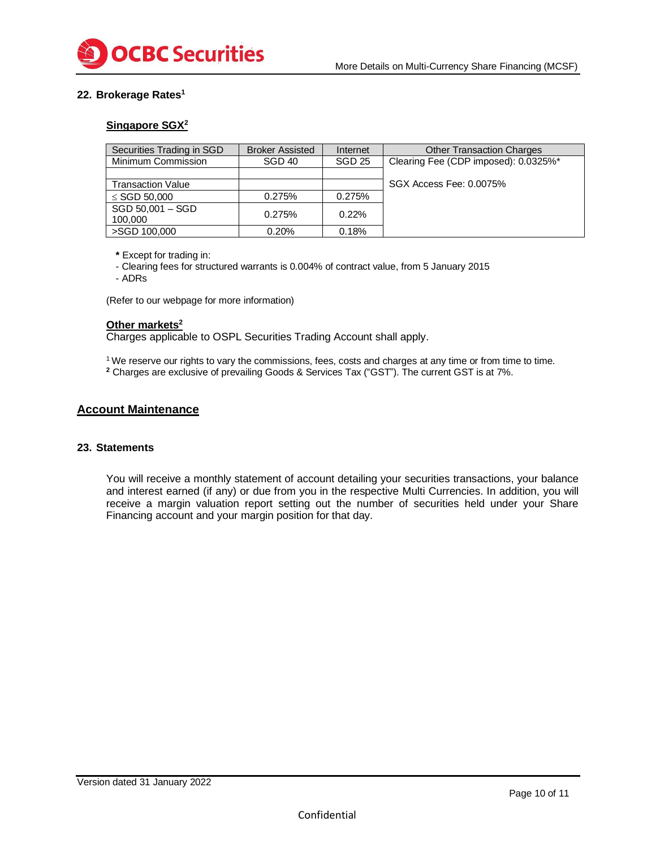

# **22. Brokerage Rates<sup>1</sup>**

# **Singapore SGX<sup>2</sup>**

| Securities Trading in SGD | <b>Broker Assisted</b> | Internet      | <b>Other Transaction Charges</b>     |
|---------------------------|------------------------|---------------|--------------------------------------|
| Minimum Commission        | SGD 40                 | <b>SGD 25</b> | Clearing Fee (CDP imposed): 0.0325%* |
|                           |                        |               |                                      |
| <b>Transaction Value</b>  |                        |               | SGX Access Fee: 0.0075%              |
| $\le$ SGD 50,000          | 0.275%                 | 0.275%        |                                      |
| SGD 50,001 - SGD          | 0.275%                 | 0.22%         |                                      |
| 100,000                   |                        |               |                                      |
| >SGD 100,000              | 0.20%                  | 0.18%         |                                      |

**\*** Except for trading in:

- Clearing fees for structured warrants is 0.004% of contract value, from 5 January 2015

- ADRs

(Refer to our webpage for more information)

#### **Other markets<sup>2</sup>**

Charges applicable to OSPL Securities Trading Account shall apply.

<sup>1</sup> We reserve our rights to vary the commissions, fees, costs and charges at any time or from time to time. **<sup>2</sup>** Charges are exclusive of prevailing Goods & Services Tax ("GST"). The current GST is at 7%.

# **Account Maintenance**

### **23. Statements**

You will receive a monthly statement of account detailing your securities transactions, your balance and interest earned (if any) or due from you in the respective Multi Currencies. In addition, you will receive a margin valuation report setting out the number of securities held under your Share Financing account and your margin position for that day.